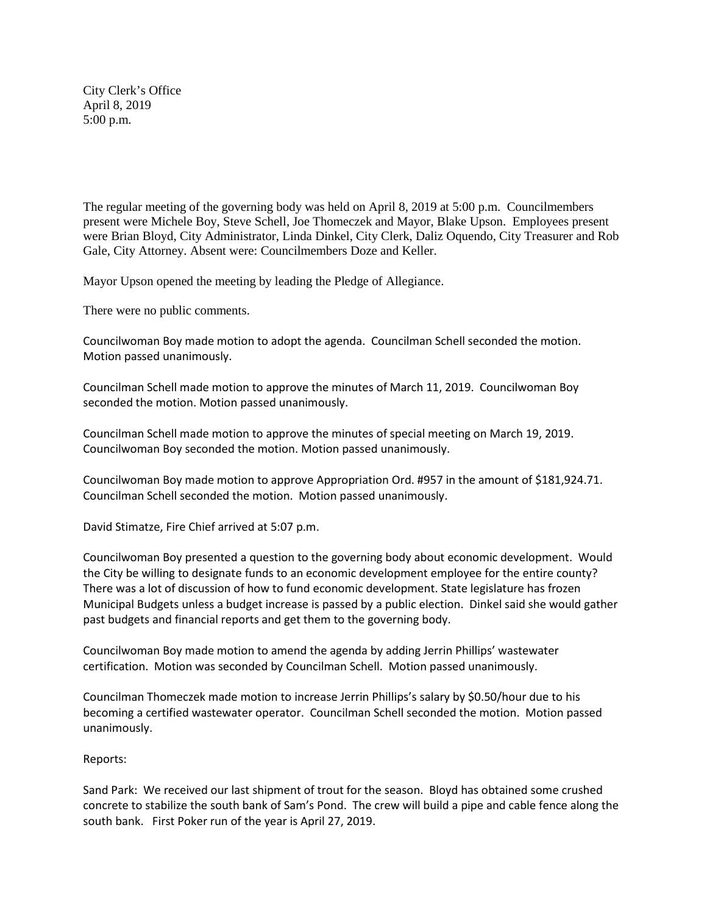City Clerk's Office April 8, 2019 5:00 p.m.

The regular meeting of the governing body was held on April 8, 2019 at 5:00 p.m. Councilmembers present were Michele Boy, Steve Schell, Joe Thomeczek and Mayor, Blake Upson. Employees present were Brian Bloyd, City Administrator, Linda Dinkel, City Clerk, Daliz Oquendo, City Treasurer and Rob Gale, City Attorney. Absent were: Councilmembers Doze and Keller.

Mayor Upson opened the meeting by leading the Pledge of Allegiance.

There were no public comments.

Councilwoman Boy made motion to adopt the agenda. Councilman Schell seconded the motion. Motion passed unanimously.

Councilman Schell made motion to approve the minutes of March 11, 2019. Councilwoman Boy seconded the motion. Motion passed unanimously.

Councilman Schell made motion to approve the minutes of special meeting on March 19, 2019. Councilwoman Boy seconded the motion. Motion passed unanimously.

Councilwoman Boy made motion to approve Appropriation Ord. #957 in the amount of \$181,924.71. Councilman Schell seconded the motion. Motion passed unanimously.

David Stimatze, Fire Chief arrived at 5:07 p.m.

Councilwoman Boy presented a question to the governing body about economic development. Would the City be willing to designate funds to an economic development employee for the entire county? There was a lot of discussion of how to fund economic development. State legislature has frozen Municipal Budgets unless a budget increase is passed by a public election. Dinkel said she would gather past budgets and financial reports and get them to the governing body.

Councilwoman Boy made motion to amend the agenda by adding Jerrin Phillips' wastewater certification. Motion was seconded by Councilman Schell. Motion passed unanimously.

Councilman Thomeczek made motion to increase Jerrin Phillips's salary by \$0.50/hour due to his becoming a certified wastewater operator. Councilman Schell seconded the motion. Motion passed unanimously.

## Reports:

Sand Park: We received our last shipment of trout for the season. Bloyd has obtained some crushed concrete to stabilize the south bank of Sam's Pond. The crew will build a pipe and cable fence along the south bank. First Poker run of the year is April 27, 2019.